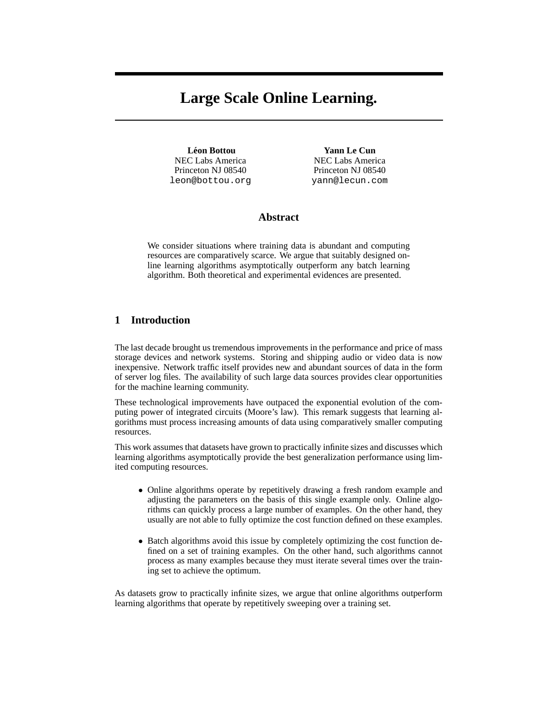# **Large Scale Online Learning.**

**Leon Bottou ´** NEC Labs America Princeton NJ 08540 leon@bottou.org

**Yann Le Cun** NEC Labs America Princeton NJ 08540 yann@lecun.com

# **Abstract**

We consider situations where training data is abundant and computing resources are comparatively scarce. We argue that suitably designed online learning algorithms asymptotically outperform any batch learning algorithm. Both theoretical and experimental evidences are presented.

## **1 Introduction**

The last decade brought us tremendous improvements in the performance and price of mass storage devices and network systems. Storing and shipping audio or video data is now inexpensive. Network traffic itself provides new and abundant sources of data in the form of server log files. The availability of such large data sources provides clear opportunities for the machine learning community.

These technological improvements have outpaced the exponential evolution of the computing power of integrated circuits (Moore's law). This remark suggests that learning algorithms must process increasing amounts of data using comparatively smaller computing resources.

This work assumes that datasets have grown to practically infinite sizes and discusses which learning algorithms asymptotically provide the best generalization performance using limited computing resources.

- Online algorithms operate by repetitively drawing a fresh random example and adjusting the parameters on the basis of this single example only. Online algorithms can quickly process a large number of examples. On the other hand, they usually are not able to fully optimize the cost function defined on these examples.
- Batch algorithms avoid this issue by completely optimizing the cost function defined on a set of training examples. On the other hand, such algorithms cannot process as many examples because they must iterate several times over the training set to achieve the optimum.

As datasets grow to practically infinite sizes, we argue that online algorithms outperform learning algorithms that operate by repetitively sweeping over a training set.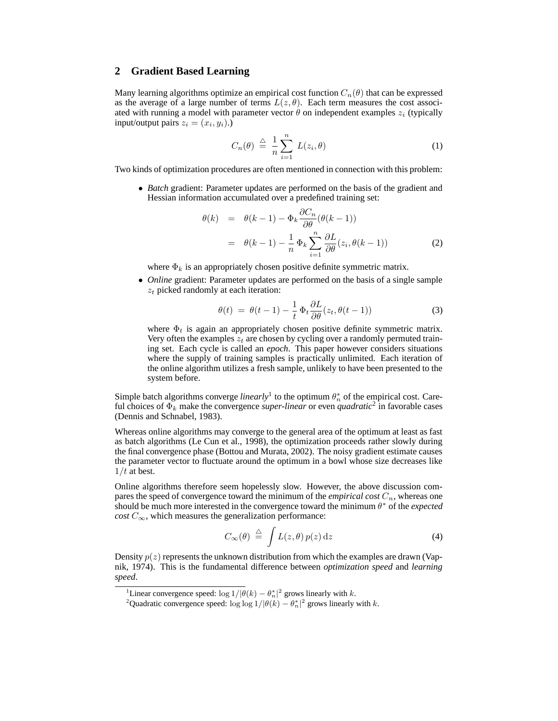## **2 Gradient Based Learning**

Many learning algorithms optimize an empirical cost function  $C_n(\theta)$  that can be expressed as the average of a large number of terms  $L(z, \theta)$ . Each term measures the cost associated with running a model with parameter vector  $\theta$  on independent examples  $z_i$  (typically input/output pairs  $z_i = (x_i, y_i)$ .)

$$
C_n(\theta) \stackrel{\triangle}{=} \frac{1}{n} \sum_{i=1}^n L(z_i, \theta) \tag{1}
$$

Two kinds of optimization procedures are often mentioned in connection with this problem:

• *Batch* gradient: Parameter updates are performed on the basis of the gradient and Hessian information accumulated over a predefined training set:

$$
\theta(k) = \theta(k-1) - \Phi_k \frac{\partial C_n}{\partial \theta} (\theta(k-1))
$$

$$
= \theta(k-1) - \frac{1}{n} \Phi_k \sum_{i=1}^n \frac{\partial L}{\partial \theta} (z_i, \theta(k-1))
$$
(2)

where  $\Phi_k$  is an appropriately chosen positive definite symmetric matrix.

• *Online* gradient: Parameter updates are performed on the basis of a single sample  $z_t$  picked randomly at each iteration:

$$
\theta(t) = \theta(t-1) - \frac{1}{t} \Phi_t \frac{\partial L}{\partial \theta}(z_t, \theta(t-1))
$$
\n(3)

where  $\Phi_t$  is again an appropriately chosen positive definite symmetric matrix. Very often the examples  $z_t$  are chosen by cycling over a randomly permuted training set. Each cycle is called an *epoch*. This paper however considers situations where the supply of training samples is practically unlimited. Each iteration of the online algorithm utilizes a fresh sample, unlikely to have been presented to the system before.

Simple batch algorithms converge *linearly*<sup>1</sup> to the optimum  $\theta_n^*$  of the empirical cost. Careful choices of  $\Phi_k$  make the convergence *super-linear* or even *quadratic*<sup>2</sup> in favorable cases (Dennis and Schnabel, 1983).

Whereas online algorithms may converge to the general area of the optimum at least as fast as batch algorithms (Le Cun et al., 1998), the optimization proceeds rather slowly during the final convergence phase (Bottou and Murata, 2002). The noisy gradient estimate causes the parameter vector to fluctuate around the optimum in a bowl whose size decreases like  $1/t$  at best.

Online algorithms therefore seem hopelessly slow. However, the above discussion compares the speed of convergence toward the minimum of the *empirical cost*  $C_n$ , whereas one should be much more interested in the convergence toward the minimum  $\theta^*$  of the *expected cost*  $C_{\infty}$ , which measures the generalization performance:

$$
C_{\infty}(\theta) \stackrel{\triangle}{=} \int L(z,\theta) p(z) dz
$$
 (4)

Density  $p(z)$  represents the unknown distribution from which the examples are drawn (Vapnik, 1974). This is the fundamental difference between *optimization speed* and *learning speed*.

<sup>&</sup>lt;sup>1</sup>Linear convergence speed:  $\log 1/|\theta(k) - \theta_n^*|^2$  grows linearly with k.

<sup>&</sup>lt;sup>2</sup>Quadratic convergence speed:  $\log \log 1/|\theta(k) - \theta_n^*|^2$  grows linearly with k.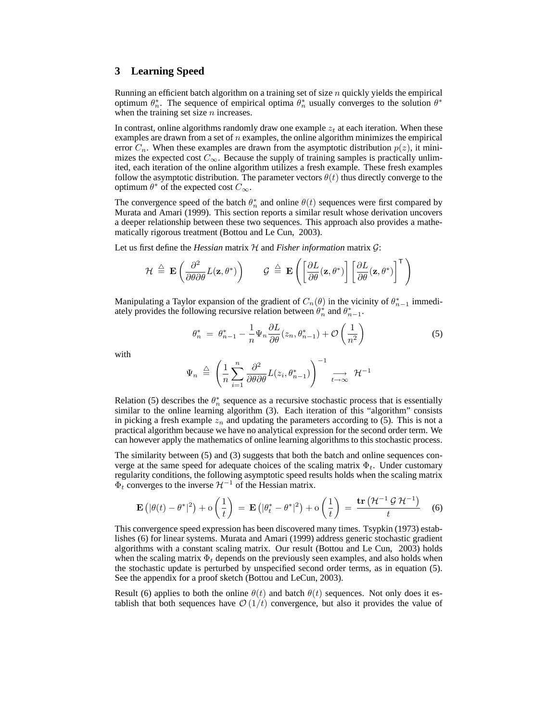### **3 Learning Speed**

Running an efficient batch algorithm on a training set of size  $n$  quickly yields the empirical optimum  $\theta_n^*$ . The sequence of empirical optima  $\theta_n^*$  usually converges to the solution  $\theta^*$ when the training set size  $n$  increases.

In contrast, online algorithms randomly draw one example  $z_t$  at each iteration. When these examples are drawn from a set of  $n$  examples, the online algorithm minimizes the empirical error  $C_n$ . When these examples are drawn from the asymptotic distribution  $p(z)$ , it minimizes the expected cost  $C_{\infty}$ . Because the supply of training samples is practically unlimited, each iteration of the online algorithm utilizes a fresh example. These fresh examples follow the asymptotic distribution. The parameter vectors  $\theta(t)$  thus directly converge to the optimum  $\theta^*$  of the expected cost  $C_{\infty}$ .

The convergence speed of the batch  $\theta_n^*$  and online  $\theta(t)$  sequences were first compared by Murata and Amari (1999). This section reports a similar result whose derivation uncovers a deeper relationship between these two sequences. This approach also provides a mathematically rigorous treatment (Bottou and Le Cun, 2003).

Let us first define the *Hessian* matrix  $H$  and *Fisher information* matrix  $G$ :

$$
\mathcal{H} \stackrel{\triangle}{=} \mathbf{E}\left(\frac{\partial^2}{\partial \theta \partial \theta} L(\mathbf{z}, \theta^*)\right) \qquad \mathcal{G} \stackrel{\triangle}{=} \mathbf{E}\left(\left[\frac{\partial L}{\partial \theta}(\mathbf{z}, \theta^*)\right] \left[\frac{\partial L}{\partial \theta}(\mathbf{z}, \theta^*)\right]^\mathsf{T}\right)
$$

Manipulating a Taylor expansion of the gradient of  $C_n(\theta)$  in the vicinity of  $\theta_{n-1}^*$  immediately provides the following recursive relation between  $\hat{\theta}_n^*$  and  $\theta_{n-1}^*$ .

$$
\theta_n^* = \theta_{n-1}^* - \frac{1}{n} \Psi_n \frac{\partial L}{\partial \theta}(z_n, \theta_{n-1}^*) + \mathcal{O}\left(\frac{1}{n^2}\right)
$$
(5)

with

$$
\Psi_n \triangleq \left(\frac{1}{n}\sum_{i=1}^n \frac{\partial^2}{\partial \theta \partial \theta} L(z_i, \theta_{n-1}^*)\right)^{-1} \xrightarrow[t \to \infty]{} \mathcal{H}^{-1}
$$

Relation (5) describes the  $\theta_n^*$  sequence as a recursive stochastic process that is essentially similar to the online learning algorithm (3). Each iteration of this "algorithm" consists in picking a fresh example  $z_n$  and updating the parameters according to (5). This is not a practical algorithm because we have no analytical expression for the second order term. We can however apply the mathematics of online learning algorithms to this stochastic process.

The similarity between (5) and (3) suggests that both the batch and online sequences converge at the same speed for adequate choices of the scaling matrix  $\Phi_t$ . Under customary regularity conditions, the following asymptotic speed results holds when the scaling matrix  $\Phi_t$  converges to the inverse  $\mathcal{H}^{-1}$  of the Hessian matrix.

$$
\mathbf{E}\left(|\theta(t) - \theta^*|^2\right) + \mathbf{o}\left(\frac{1}{t}\right) = \mathbf{E}\left(|\theta_t^* - \theta^*|^2\right) + \mathbf{o}\left(\frac{1}{t}\right) = \frac{\mathbf{tr}\left(\mathcal{H}^{-1}\mathcal{G}\mathcal{H}^{-1}\right)}{t} \quad (6)
$$

This convergence speed expression has been discovered many times. Tsypkin (1973) establishes (6) for linear systems. Murata and Amari (1999) address generic stochastic gradient algorithms with a constant scaling matrix. Our result (Bottou and Le Cun, 2003) holds when the scaling matrix  $\Phi_t$  depends on the previously seen examples, and also holds when the stochastic update is perturbed by unspecified second order terms, as in equation (5). See the appendix for a proof sketch (Bottou and LeCun, 2003).

Result (6) applies to both the online  $\theta(t)$  and batch  $\theta(t)$  sequences. Not only does it establish that both sequences have  $\mathcal{O}(1/t)$  convergence, but also it provides the value of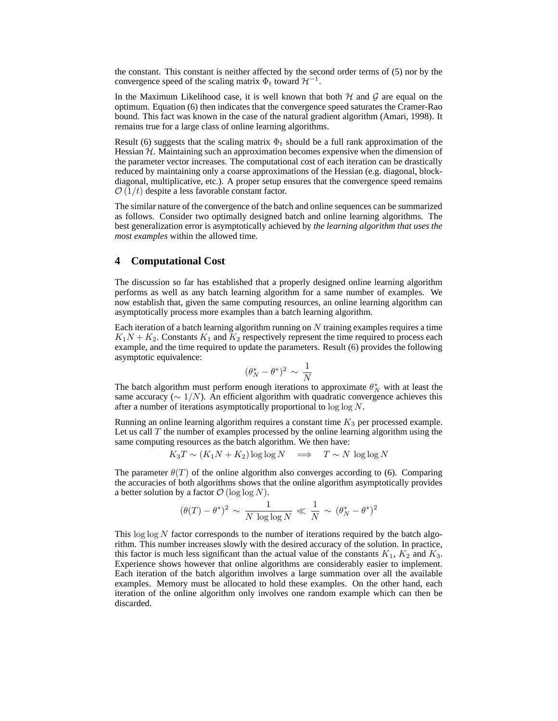the constant. This constant is neither affected by the second order terms of (5) nor by the convergence speed of the scaling matrix  $\Phi_t$  toward  $\mathcal{H}^{-1}$ .

In the Maximum Likelihood case, it is well known that both  $H$  and  $G$  are equal on the optimum. Equation (6) then indicates that the convergence speed saturates the Cramer-Rao bound. This fact was known in the case of the natural gradient algorithm (Amari, 1998). It remains true for a large class of online learning algorithms.

Result (6) suggests that the scaling matrix  $\Phi_t$  should be a full rank approximation of the Hessian  $H$ . Maintaining such an approximation becomes expensive when the dimension of the parameter vector increases. The computational cost of each iteration can be drastically reduced by maintaining only a coarse approximations of the Hessian (e.g. diagonal, blockdiagonal, multiplicative, etc.). A proper setup ensures that the convergence speed remains  $\mathcal{O}(1/t)$  despite a less favorable constant factor.

The similar nature of the convergence of the batch and online sequences can be summarized as follows. Consider two optimally designed batch and online learning algorithms. The best generalization error is asymptotically achieved by *the learning algorithm that uses the most examples* within the allowed time.

## **4 Computational Cost**

The discussion so far has established that a properly designed online learning algorithm performs as well as any batch learning algorithm for a same number of examples. We now establish that, given the same computing resources, an online learning algorithm can asymptotically process more examples than a batch learning algorithm.

Each iteration of a batch learning algorithm running on  $N$  training examples requires a time  $K_1N + K_2$ . Constants  $K_1$  and  $K_2$  respectively represent the time required to process each example, and the time required to update the parameters. Result (6) provides the following asymptotic equivalence:

$$
(\theta_N^* - \theta^*)^2 \sim \frac{1}{N}
$$

The batch algorithm must perform enough iterations to approximate  $\theta_N^*$  with at least the same accuracy ( $\sim 1/N$ ). An efficient algorithm with quadratic convergence achieves this after a number of iterations asymptotically proportional to log log N.

Running an online learning algorithm requires a constant time  $K_3$  per processed example. Let us call  $T$  the number of examples processed by the online learning algorithm using the same computing resources as the batch algorithm. We then have:

$$
K_3T \sim (K_1N + K_2)\log\log N \quad \Longrightarrow \quad T \sim N \, \log\log N
$$

The parameter  $\theta(T)$  of the online algorithm also converges according to (6). Comparing the accuracies of both algorithms shows that the online algorithm asymptotically provides a better solution by a factor  $\mathcal{O}(\log \log N)$ .

$$
(\theta(T) - \theta^*)^2 \sim \frac{1}{N \log \log N} \ll \frac{1}{N} \sim (\theta_N^* - \theta^*)^2
$$

This  $\log \log N$  factor corresponds to the number of iterations required by the batch algorithm. This number increases slowly with the desired accuracy of the solution. In practice, this factor is much less significant than the actual value of the constants  $K_1$ ,  $K_2$  and  $K_3$ . Experience shows however that online algorithms are considerably easier to implement. Each iteration of the batch algorithm involves a large summation over all the available examples. Memory must be allocated to hold these examples. On the other hand, each iteration of the online algorithm only involves one random example which can then be discarded.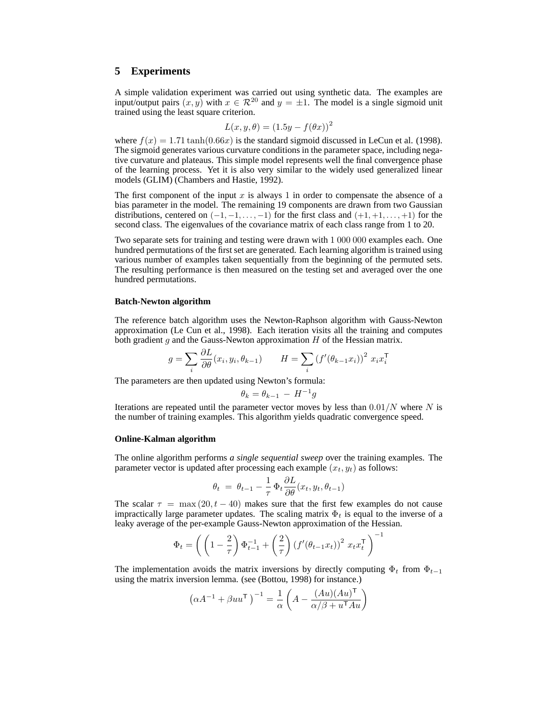## **5 Experiments**

A simple validation experiment was carried out using synthetic data. The examples are input/output pairs  $(x, y)$  with  $x \in \mathcal{R}^{20}$  and  $y = \pm 1$ . The model is a single sigmoid unit trained using the least square criterion.

$$
L(x, y, \theta) = (1.5y - f(\theta x))^2
$$

where  $f(x) = 1.71 \tanh(0.66x)$  is the standard sigmoid discussed in LeCun et al. (1998). The sigmoid generates various curvature conditions in the parameter space, including negative curvature and plateaus. This simple model represents well the final convergence phase of the learning process. Yet it is also very similar to the widely used generalized linear models (GLIM) (Chambers and Hastie, 1992).

The first component of the input  $x$  is always 1 in order to compensate the absence of a bias parameter in the model. The remaining 19 components are drawn from two Gaussian distributions, centered on  $(-1, -1, \ldots, -1)$  for the first class and  $(+1, +1, \ldots, +1)$  for the second class. The eigenvalues of the covariance matrix of each class range from 1 to 20.

Two separate sets for training and testing were drawn with 1 000 000 examples each. One hundred permutations of the first set are generated. Each learning algorithm is trained using various number of examples taken sequentially from the beginning of the permuted sets. The resulting performance is then measured on the testing set and averaged over the one hundred permutations.

#### **Batch-Newton algorithm**

The reference batch algorithm uses the Newton-Raphson algorithm with Gauss-Newton approximation (Le Cun et al., 1998). Each iteration visits all the training and computes both gradient  $g$  and the Gauss-Newton approximation  $H$  of the Hessian matrix.

$$
g = \sum_{i} \frac{\partial L}{\partial \theta}(x_i, y_i, \theta_{k-1}) \qquad H = \sum_{i} \left( f'(\theta_{k-1} x_i) \right)^2 x_i x_i^{\mathsf{T}}
$$

The parameters are then updated using Newton's formula:

 $\sim$ 

$$
\theta_k = \theta_{k-1} - H^{-1}g
$$

Iterations are repeated until the parameter vector moves by less than  $0.01/N$  where N is the number of training examples. This algorithm yields quadratic convergence speed.

#### **Online-Kalman algorithm**

The online algorithm performs *a single sequential sweep* over the training examples. The parameter vector is updated after processing each example  $(x_t, y_t)$  as follows:

$$
\theta_t = \theta_{t-1} - \frac{1}{\tau} \Phi_t \frac{\partial L}{\partial \theta}(x_t, y_t, \theta_{t-1})
$$

The scalar  $\tau = \max(20, t - 40)$  makes sure that the first few examples do not cause impractically large parameter updates. The scaling matrix  $\Phi_t$  is equal to the inverse of a leaky average of the per-example Gauss-Newton approximation of the Hessian.

$$
\Phi_t=\left(\left(1-\frac{2}{\tau}\right)\Phi_{t-1}^{-1}+\left(\frac{2}{\tau}\right)\left(f'(\theta_{t-1}x_t)\right)^2\,x_tx_t^\mathsf{T}\,\right)^{-1}
$$

The implementation avoids the matrix inversions by directly computing  $\Phi_t$  from  $\Phi_{t-1}$ using the matrix inversion lemma. (see (Bottou, 1998) for instance.)

$$
\left(\alpha A^{-1}+\beta u u^{\mathsf{T}}\,\right)^{-1}=\frac{1}{\alpha}\left(A-\frac{(Au)(Au)^{\mathsf{T}}}{\alpha/\beta+u^{\mathsf{T}}Au}\right)
$$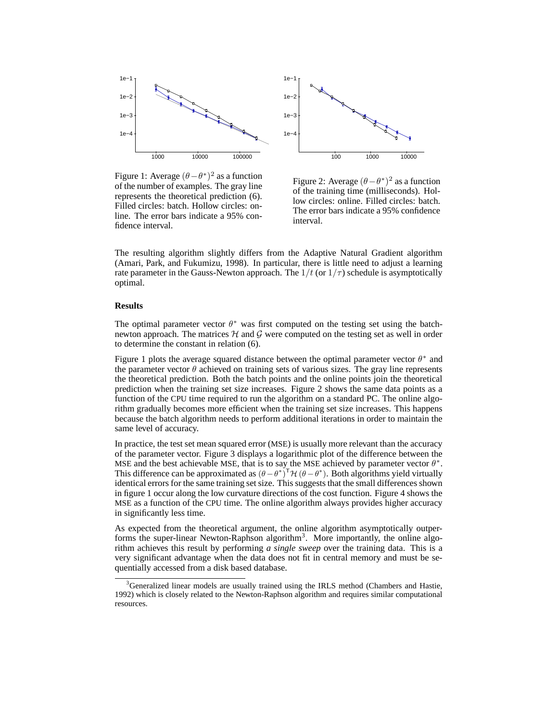

100 1000 10000 1e−4 1e−3 1e−2 1e−1

Figure 1: Average  $(\theta - \theta^*)^2$  as a function of the number of examples. The gray line represents the theoretical prediction (6). Filled circles: batch. Hollow circles: online. The error bars indicate a 95% confidence interval.

Figure 2: Average  $(\theta - \theta^*)^2$  as a function of the training time (milliseconds). Hollow circles: online. Filled circles: batch. The error bars indicate a 95% confidence interval.

The resulting algorithm slightly differs from the Adaptive Natural Gradient algorithm (Amari, Park, and Fukumizu, 1998). In particular, there is little need to adjust a learning rate parameter in the Gauss-Newton approach. The  $1/t$  (or  $1/\tau$ ) schedule is asymptotically optimal.

#### **Results**

The optimal parameter vector  $\theta^*$  was first computed on the testing set using the batchnewton approach. The matrices  $H$  and  $G$  were computed on the testing set as well in order to determine the constant in relation (6).

Figure 1 plots the average squared distance between the optimal parameter vector  $\theta^*$  and the parameter vector  $\theta$  achieved on training sets of various sizes. The gray line represents the theoretical prediction. Both the batch points and the online points join the theoretical prediction when the training set size increases. Figure 2 shows the same data points as a function of the CPU time required to run the algorithm on a standard PC. The online algorithm gradually becomes more efficient when the training set size increases. This happens because the batch algorithm needs to perform additional iterations in order to maintain the same level of accuracy.

In practice, the test set mean squared error (MSE) is usually more relevant than the accuracy of the parameter vector. Figure 3 displays a logarithmic plot of the difference between the MSE and the best achievable MSE, that is to say the MSE achieved by parameter vector  $\theta^*$ . This difference can be approximated as  $(\theta - \theta^*)^T \mathcal{H} (\theta - \theta^*)$ . Both algorithms yield virtually identical errors for the same training set size. This suggests that the small differences shown in figure 1 occur along the low curvature directions of the cost function. Figure 4 shows the MSE as a function of the CPU time. The online algorithm always provides higher accuracy in significantly less time.

As expected from the theoretical argument, the online algorithm asymptotically outperforms the super-linear Newton-Raphson algorithm<sup>3</sup>. More importantly, the online algorithm achieves this result by performing *a single sweep* over the training data. This is a very significant advantage when the data does not fit in central memory and must be sequentially accessed from a disk based database.

<sup>&</sup>lt;sup>3</sup>Generalized linear models are usually trained using the IRLS method (Chambers and Hastie, 1992) which is closely related to the Newton-Raphson algorithm and requires similar computational resources.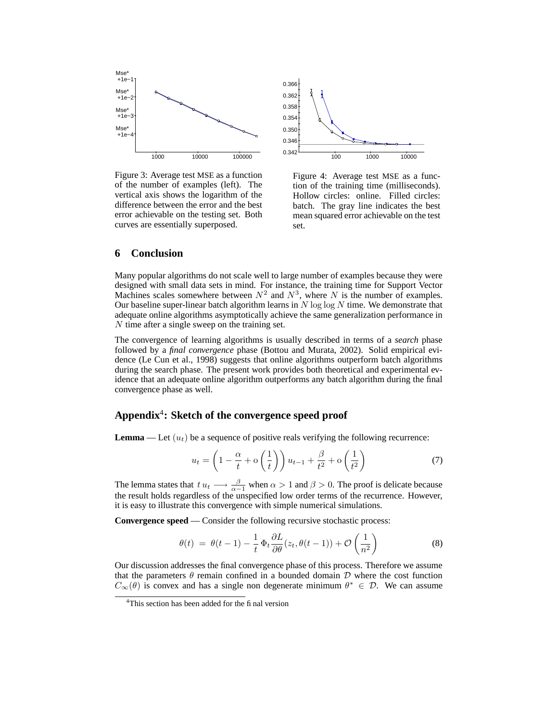

Figure 3: Average test MSE as a function of the number of examples (left). The vertical axis shows the logarithm of the difference between the error and the best error achievable on the testing set. Both curves are essentially superposed.



Figure 4: Average test MSE as a function of the training time (milliseconds). Hollow circles: online. Filled circles: batch. The gray line indicates the best mean squared error achievable on the test set.

## **6 Conclusion**

Many popular algorithms do not scale well to large number of examples because they were designed with small data sets in mind. For instance, the training time for Support Vector Machines scales somewhere between  $N^2$  and  $N^3$ , where N is the number of examples. Our baseline super-linear batch algorithm learns in  $N \log \log N$  time. We demonstrate that adequate online algorithms asymptotically achieve the same generalization performance in N time after a single sweep on the training set.

The convergence of learning algorithms is usually described in terms of a *search* phase followed by a *final convergence* phase (Bottou and Murata, 2002). Solid empirical evidence (Le Cun et al., 1998) suggests that online algorithms outperform batch algorithms during the search phase. The present work provides both theoretical and experimental evidence that an adequate online algorithm outperforms any batch algorithm during the final convergence phase as well.

# **Appendix**<sup>4</sup> **: Sketch of the convergence speed proof**

**Lemma** — Let  $(u_t)$  be a sequence of positive reals verifying the following recurrence:

$$
u_t = \left(1 - \frac{\alpha}{t} + \mathbf{o}\left(\frac{1}{t}\right)\right)u_{t-1} + \frac{\beta}{t^2} + \mathbf{o}\left(\frac{1}{t^2}\right) \tag{7}
$$

The lemma states that  $t u_t \longrightarrow \frac{\beta}{\alpha-1}$  when  $\alpha > 1$  and  $\beta > 0$ . The proof is delicate because the result holds regardless of the unspecified low order terms of the recurrence. However, it is easy to illustrate this convergence with simple numerical simulations.

**Convergence speed** — Consider the following recursive stochastic process:

$$
\theta(t) = \theta(t-1) - \frac{1}{t} \Phi_t \frac{\partial L}{\partial \theta}(z_t, \theta(t-1)) + \mathcal{O}\left(\frac{1}{n^2}\right)
$$
(8)

Our discussion addresses the final convergence phase of this process. Therefore we assume that the parameters  $\theta$  remain confined in a bounded domain  $D$  where the cost function  $C_{\infty}(\theta)$  is convex and has a single non degenerate minimum  $\theta^* \in \mathcal{D}$ . We can assume

<sup>&</sup>lt;sup>4</sup>This section has been added for the final version